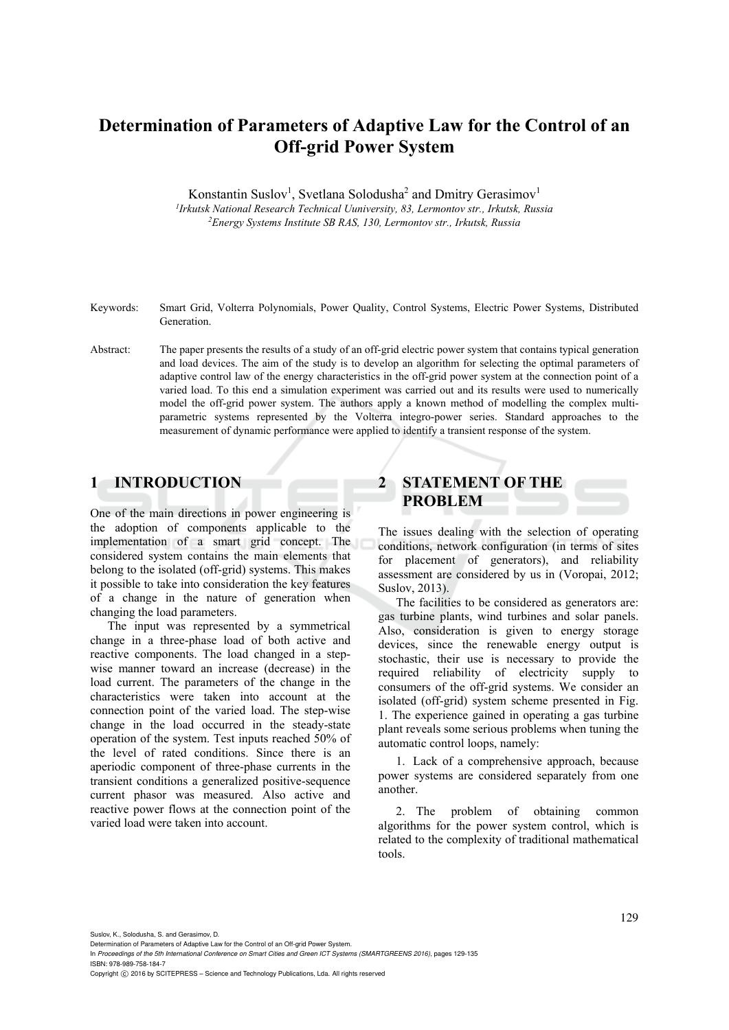# **Determination of Parameters of Adaptive Law for the Control of an Off-grid Power System**

Konstantin Suslov<sup>1</sup>, Svetlana Solodusha<sup>2</sup> and Dmitry Gerasimov<sup>1</sup> *1Irkutsk National Research Technical Uuniversity, 83, Lermontov str., Irkutsk, Russia 2Energy Systems Institute SB RAS, 130, Lermontov str., Irkutsk, Russia* 

- Keywords: Smart Grid, Volterra Polynomials, Power Quality, Control Systems, Electric Power Systems, Distributed Generation.
- Abstract: The paper presents the results of a study of an off-grid electric power system that contains typical generation and load devices. The aim of the study is to develop an algorithm for selecting the optimal parameters of adaptive control law of the energy characteristics in the off-grid power system at the connection point of a varied load. To this end a simulation experiment was carried out and its results were used to numerically model the off-grid power system. The authors apply a known method of modelling the complex multiparametric systems represented by the Volterra integro-power series. Standard approaches to the measurement of dynamic performance were applied to identify a transient response of the system.

## **1 INTRODUCTION**

One of the main directions in power engineering is the adoption of components applicable to the implementation of a smart grid concept. The considered system contains the main elements that belong to the isolated (off-grid) systems. This makes it possible to take into consideration the key features of a change in the nature of generation when changing the load parameters.

The input was represented by a symmetrical change in a three-phase load of both active and reactive components. The load changed in a stepwise manner toward an increase (decrease) in the load current. The parameters of the change in the characteristics were taken into account at the connection point of the varied load. The step-wise change in the load occurred in the steady-state operation of the system. Test inputs reached 50% of the level of rated conditions. Since there is an aperiodic component of three-phase currents in the transient conditions a generalized positive-sequence current phasor was measured. Also active and reactive power flows at the connection point of the varied load were taken into account.

# **2 STATEMENT OF THE PROBLEM**

The issues dealing with the selection of operating conditions, network configuration (in terms of sites for placement of generators), and reliability assessment are considered by us in (Voropai, 2012; Suslov, 2013).

The facilities to be considered as generators are: gas turbine plants, wind turbines and solar panels. Also, consideration is given to energy storage devices, since the renewable energy output is stochastic, their use is necessary to provide the required reliability of electricity supply to consumers of the off-grid systems. We consider an isolated (off-grid) system scheme presented in Fig. 1. The experience gained in operating a gas turbine plant reveals some serious problems when tuning the automatic control loops, namely:

1. Lack of a comprehensive approach, because power systems are considered separately from one another.

2. The problem of obtaining common algorithms for the power system control, which is related to the complexity of traditional mathematical tools.

Suslov, K., Solodusha, S. and Gerasimov, D.

In *Proceedings of the 5th International Conference on Smart Cities and Green ICT Systems (SMARTGREENS 2016)*, pages 129-135 ISBN: 978-989-758-184-7

Copyright C 2016 by SCITEPRESS - Science and Technology Publications, Lda. All rights reserved

Determination of Parameters of Adaptive Law for the Control of an Off-grid Power System.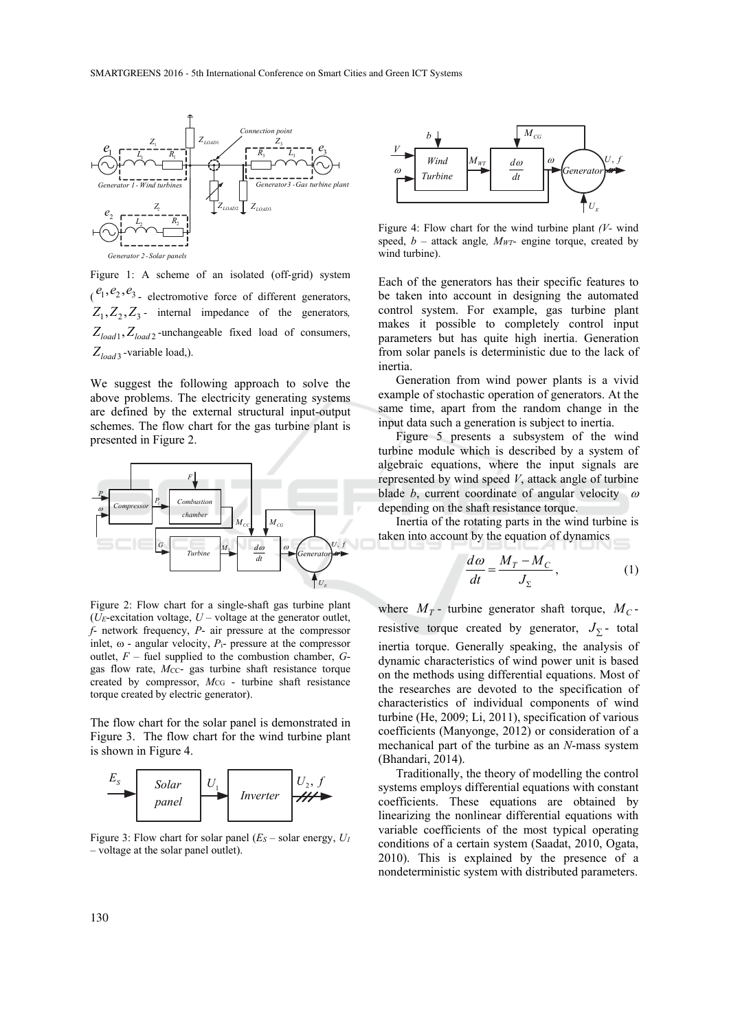

Figure 1: A scheme of an isolated (off-grid) system  $\ell_1$ ,  $\ell_2$ ,  $\ell_3$ <sub>-</sub> electromotive force of different generators,  $Z_1, Z_2, Z_3$  - internal impedance of the generators,  $Z_{load1}, Z_{load2}$ -unchangeable fixed load of consumers, *Zload* <sup>3</sup> *-*variable load,).

We suggest the following approach to solve the above problems. The electricity generating systems are defined by the external structural input-output schemes. The flow chart for the gas turbine plant is presented in Figure 2.



Figure 2: Flow chart for a single-shaft gas turbine plant ( $U_E$ -excitation voltage,  $U$  – voltage at the generator outlet, *f*- network frequency, *P*- air pressure at the compressor inlet,  $\omega$  - angular velocity,  $P_i$ - pressure at the compressor outlet, *F* – fuel supplied to the combustion chamber, *G*gas flow rate, *Mcc*- gas turbine shaft resistance torque created by compressor,  $M_{CG}$  - turbine shaft resistance torque created by electric generator).

The flow chart for the solar panel is demonstrated in Figure 3. The flow chart for the wind turbine plant is shown in Figure 4.



Figure 3: Flow chart for solar panel  $(E_S - \text{solar energy}, U_I)$ – voltage at the solar panel outlet).



Figure 4: Flow chart for the wind turbine plant *(V-* wind speed,  $b$  – attack angle,  $M_{WT}$ - engine torque, created by wind turbine).

Each of the generators has their specific features to be taken into account in designing the automated control system. For example, gas turbine plant makes it possible to completely control input parameters but has quite high inertia. Generation from solar panels is deterministic due to the lack of inertia.

Generation from wind power plants is a vivid example of stochastic operation of generators. At the same time, apart from the random change in the input data such a generation is subject to inertia.

Figure 5 presents a subsystem of the wind turbine module which is described by a system of algebraic equations, where the input signals are represented by wind speed *V*, attack angle of turbine blade *b*, current coordinate of angular velocity  $\omega$ depending on the shaft resistance torque.

Inertia of the rotating parts in the wind turbine is taken into account by the equation of dynamics

$$
\frac{d\omega}{dt} = \frac{M_T - M_C}{J_\Sigma},\tag{1}
$$

where  $M_T$ - turbine generator shaft torque,  $M_C$ resistive torque created by generator,  $J_{\Sigma}$  total inertia torque. Generally speaking, the analysis of dynamic characteristics of wind power unit is based on the methods using differential equations. Most of the researches are devoted to the specification of characteristics of individual components of wind turbine (He, 2009; Li, 2011), specification of various coefficients (Manyonge, 2012) or consideration of a mechanical part of the turbine as an *N*-mass system (Bhandari, 2014).

Traditionally, the theory of modelling the control systems employs differential equations with constant coefficients. These equations are obtained by linearizing the nonlinear differential equations with variable coefficients of the most typical operating conditions of a certain system (Saadat, 2010, Ogata, 2010). This is explained by the presence of a nondeterministic system with distributed parameters.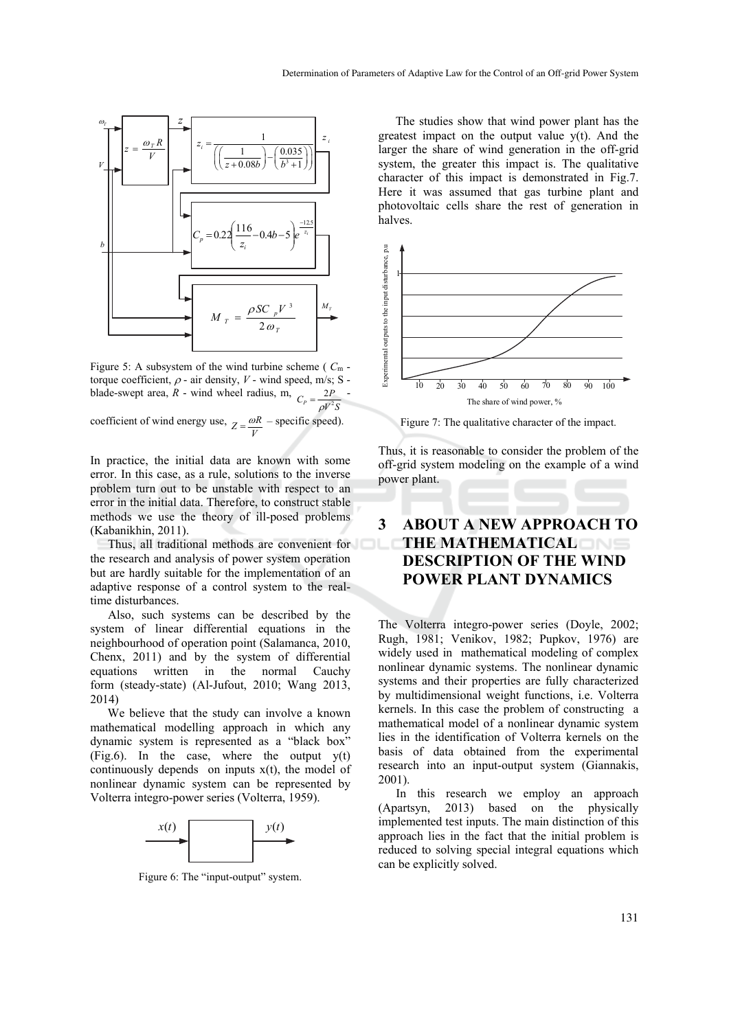

Figure 5: A subsystem of the wind turbine scheme ( *C*m torque coefficient,  $\rho$  - air density,  $V$  - wind speed, m/s; S blade-swept area, *R* - wind wheel radius, m,  $C_p = \frac{2P}{\Delta V^2}$  $=\frac{2P}{\rho V^2S}$ 

coefficient of wind energy use,  $Z = \frac{\omega R}{V}$  $=\frac{\omega R}{\sigma}$  – specific speed).

In practice, the initial data are known with some error. In this case, as a rule, solutions to the inverse problem turn out to be unstable with respect to an error in the initial data. Therefore, to construct stable methods we use the theory of ill-posed problems (Kabanikhin, 2011).

Thus, all traditional methods are convenient for the research and analysis of power system operation but are hardly suitable for the implementation of an adaptive response of a control system to the realtime disturbances.

Also, such systems can be described by the system of linear differential equations in the neighbourhood of operation point (Salamanca, 2010, Chenx, 2011) and by the system of differential equations written in the normal Cauchy form (steady-state) (Al-Jufout, 2010; Wang 2013, 2014)

We believe that the study can involve a known mathematical modelling approach in which any dynamic system is represented as a "black box"  $(Fig.6)$ . In the case, where the output  $y(t)$ continuously depends on inputs  $x(t)$ , the model of nonlinear dynamic system can be represented by Volterra integro-power series (Volterra, 1959).



Figure 6: The "input-output" system.

The studies show that wind power plant has the greatest impact on the output value y(t). And the larger the share of wind generation in the off-grid system, the greater this impact is. The qualitative character of this impact is demonstrated in Fig.7. Here it was assumed that gas turbine plant and photovoltaic cells share the rest of generation in halves.



Figure 7: The qualitative character of the impact.

Thus, it is reasonable to consider the problem of the off-grid system modeling on the example of a wind power plant.

# **3 ABOUT A NEW APPROACH TO THE MATHEMATICAL DESCRIPTION OF THE WIND POWER PLANT DYNAMICS**

The Volterra integro-power series (Doyle, 2002; Rugh, 1981; Venikov, 1982; Pupkov, 1976) are widely used in mathematical modeling of complex nonlinear dynamic systems. The nonlinear dynamic systems and their properties are fully characterized by multidimensional weight functions, i.e. Volterra kernels. In this case the problem of constructing a mathematical model of a nonlinear dynamic system lies in the identification of Volterra kernels on the basis of data obtained from the experimental research into an input-output system (Giannakis, 2001).

In this research we employ an approach (Apartsyn, 2013) based on the physically implemented test inputs. The main distinction of this approach lies in the fact that the initial problem is reduced to solving special integral equations which can be explicitly solved.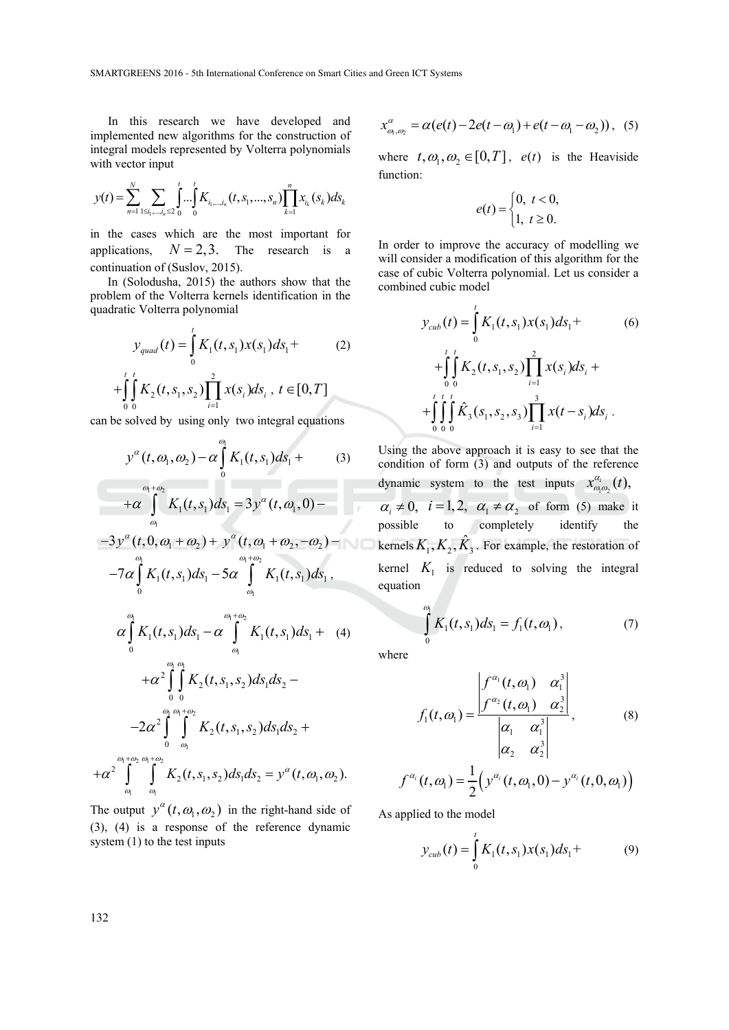In this research we have developed and implemented new algorithms for the construction of integral models represented by Volterra polynomials with vector input

$$
y(t) = \sum_{n=1}^{N} \sum_{1 \le i_1, \dots, i_n \le 2} \int_{0}^{t} \dots \int_{0}^{t} K_{i_1, \dots, i_n}(t, s_1, \dots, s_n) \prod_{k=1}^{n} x_{i_k}(s_k) ds_k
$$

in the cases which are the most important for applications,  $N = 2, 3$ . The research is a continuation of (Suslov, 2015).

In (Solodusha, 2015) the authors show that the problem of the Volterra kernels identification in the quadratic Volterra polynomial

$$
y_{quad}(t) = \int_{0}^{t} K_1(t, s_1) x(s_1) ds_1 +
$$
  
+ 
$$
\int_{0}^{t} \int_{0}^{t} K_2(t, s_1, s_2) \prod_{i=1}^{2} x(s_i) ds_i, t \in [0, T]
$$
 (2)

*i* can be solved by using only two integral equations

0 0  $i=1$ 

$$
y^{\alpha}(t,\omega_1,\omega_2) - \alpha \int_{0}^{\omega_1} K_1(t,s_1) ds_1 +
$$
 (3)

$$
+\alpha\int\limits_{\omega_1}^{\omega_1+\omega_2}K_1(t,s_1)ds_1=3y^\alpha(t,\omega_1,0)-
$$

$$
-3y^{\alpha}(t,0,\omega_1+\omega_2)+y^{\alpha}(t,\omega_1+\omega_2,-\omega_2)-
$$
  

$$
-7\alpha\int_{0}^{\omega_1}K_1(t,s_1)ds_1-5\alpha\int_{\omega_1}^{\omega_1+\omega_2}K_1(t,s_1)ds_1,
$$

$$
\alpha \int_{0}^{\omega_{1}} K_{1}(t,s_{1}) ds_{1} - \alpha \int_{\omega_{1}}^{\omega_{1}+\omega_{2}} K_{1}(t,s_{1}) ds_{1} + (4) \n+ \alpha^{2} \int_{0}^{\omega_{1}} \int_{0}^{\omega_{1}} K_{2}(t,s_{1},s_{2}) ds_{1} ds_{2} - \n-2 \alpha^{2} \int_{0}^{\omega_{1}} \int_{\omega_{1}}^{\omega_{1}+\omega_{2}} K_{2}(t,s_{1},s_{2}) ds_{1} ds_{2} + \n+ \alpha^{2} \int_{0}^{\omega_{1}+\omega_{2}} K_{2}(t,s_{1},s_{2}) ds_{1} ds_{2} = y^{\alpha}(t,\omega_{1},\omega_{2}).
$$

The output  $y^{\alpha}(t, \omega_1, \omega_2)$  in the right-hand side of (3), (4) is a response of the reference dynamic system  $(1)$  to the test inputs

$$
x_{\omega_1,\omega_2}^{\alpha} = \alpha(e(t) - 2e(t - \omega_1) + e(t - \omega_1 - \omega_2)),
$$
 (5)

where  $t, \omega_1, \omega_2 \in [0, T]$ ,  $e(t)$  is the Heaviside function:

$$
e(t) = \begin{cases} 0, & t < 0, \\ 1, & t \ge 0. \end{cases}
$$

In order to improve the accuracy of modelling we will consider a modification of this algorithm for the case of cubic Volterra polynomial. Let us consider a combined cubic model

$$
y_{cub}(t) = \int_{0}^{t} K_1(t, s_1) x(s_1) ds_1 +
$$
  
+ 
$$
\int_{0}^{t} \int_{0}^{t} K_2(t, s_1, s_2) \prod_{i=1}^{2} x(s_i) ds_i +
$$
  
+ 
$$
\int_{0}^{t} \int_{0}^{t} \hat{K}_3(s_1, s_2, s_3) \prod_{i=1}^{3} x(t - s_i) ds_i.
$$
 (6)

Using the above approach it is easy to see that the condition of form (3) and outputs of the reference dynamic system to the test inputs  $x_{\omega_1 \omega_2}^{\alpha_i}(t)$ ,  $\alpha_i \neq 0$ ,  $i = 1, 2$ ,  $\alpha_1 \neq \alpha_2$  of form (5) make it possible to completely identify the **kernels**  $K_1, K_2, \hat{K}_3$ **. For example, the restoration of** kernel  $K_1$  is reduced to solving the integral equation

$$
\int_{0}^{\omega_1} K_1(t, s_1) ds_1 = f_1(t, \omega_1), \tag{7}
$$

where

$$
f_1(t, \omega_1) = \frac{\begin{vmatrix} f^{\alpha_1}(t, \omega_1) & \alpha_1^3 \\ f^{\alpha_2}(t, \omega_1) & \alpha_2^3 \end{vmatrix}}{\begin{vmatrix} \alpha_1 & \alpha_1^3 \\ \alpha_2 & \alpha_2^3 \end{vmatrix}}, \qquad (8)
$$

$$
f^{\alpha_i}(t, \omega_1) = \frac{1}{2} \Big( y^{\alpha_i}(t, \omega_1, 0) - y^{\alpha_i}(t, 0, \omega_1) \Big)
$$

As applied to the model

$$
y_{\text{cub}}(t) = \int_{0}^{t} K_1(t, s_1) x(s_1) ds_1 +
$$
 (9)

 $\frac{1}{1}$   $\omega_1$ 

 $\omega$   $\omega$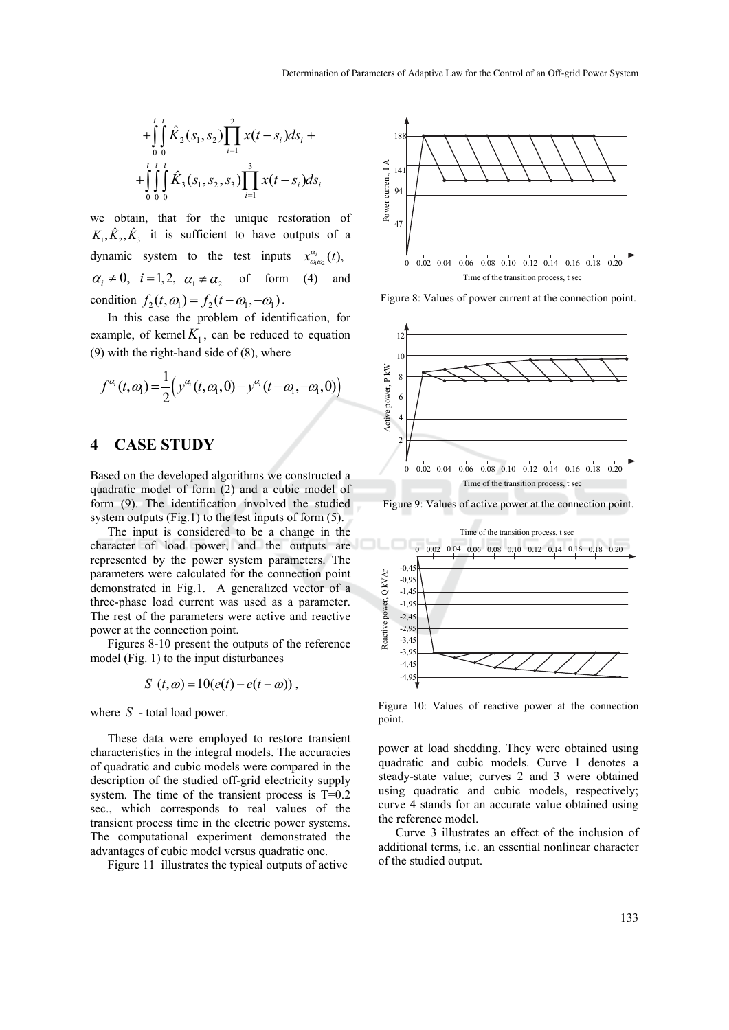$$
+\int_{0}^{t} \int_{0}^{t} \hat{K}_{2}(s_{1}, s_{2}) \prod_{i=1}^{2} x(t-s_{i}) ds_{i} ++ \int_{0}^{t} \int_{0}^{t} \int_{0}^{t} \hat{K}_{3}(s_{1}, s_{2}, s_{3}) \prod_{i=1}^{3} x(t-s_{i}) ds_{i}
$$

we obtain, that for the unique restoration of  $K_1, \hat{K}_2, \hat{K}_3$  it is sufficient to have outputs of a dynamic system to the test inputs  $x_{\omega_1 \omega_2}^{\alpha_i}(t)$ ,  $\alpha_i \neq 0$ ,  $i = 1, 2$ ,  $\alpha_1 \neq \alpha$ , of form (4) and condition  $f_2(t, \omega_1) = f_2(t - \omega_1, -\omega_1)$ .

In this case the problem of identification, for example, of kernel  $K_1$ , can be reduced to equation (9) with the right-hand side of (8), where

$$
f^{\alpha_i}(t,\alpha_i) = \frac{1}{2} \Big( y^{\alpha_i}(t,\alpha_i,0) - y^{\alpha_i}(t-\alpha_i,-\alpha_i,0) \Big)
$$

#### **4 CASE STUDY**

Based on the developed algorithms we constructed a quadratic model of form (2) and a cubic model of form (9). The identification involved the studied system outputs (Fig.1) to the test inputs of form  $(5)$ .

The input is considered to be a change in the character of load power, and the outputs are represented by the power system parameters. The parameters were calculated for the connection point demonstrated in Fig.1. A generalized vector of a three-phase load current was used as a parameter. The rest of the parameters were active and reactive power at the connection point.

Figures 8-10 present the outputs of the reference model (Fig. 1) to the input disturbances

$$
S(t, \omega) = 10(e(t) - e(t - \omega)),
$$

where *S* - total load power.

These data were employed to restore transient characteristics in the integral models. The accuracies of quadratic and cubic models were compared in the description of the studied off-grid electricity supply system. The time of the transient process is T=0.2 sec., which corresponds to real values of the transient process time in the electric power systems. The computational experiment demonstrated the advantages of cubic model versus quadratic one.

Figure 11 illustrates the typical outputs of active



Figure 8: Values of power current at the connection point.



Figure 9: Values of active power at the connection point.



Figure 10: Values of reactive power at the connection point.

power at load shedding. They were obtained using quadratic and cubic models. Curve 1 denotes a steady-state value; curves 2 and 3 were obtained using quadratic and cubic models, respectively; curve 4 stands for an accurate value obtained using the reference model.

Curve 3 illustrates an effect of the inclusion of additional terms, i.e. an essential nonlinear character of the studied output.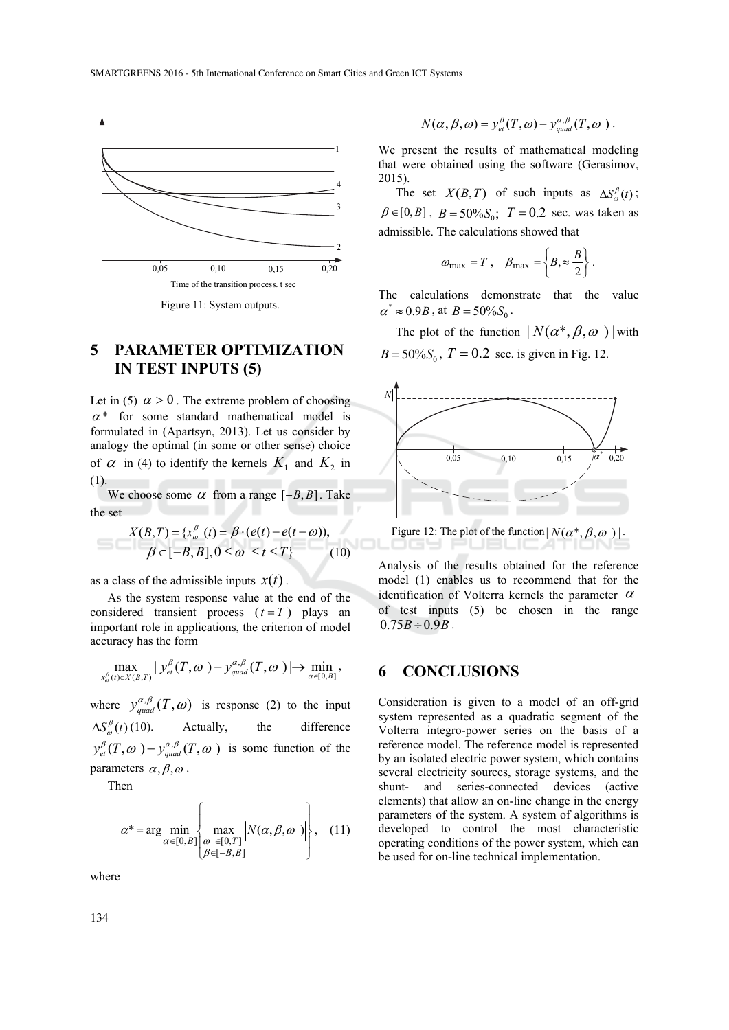

Figure 11: System outputs.

# **5 PARAMETER OPTIMIZATION IN TEST INPUTS (5)**

Let in (5)  $\alpha > 0$ . The extreme problem of choosing  $\alpha^*$  for some standard mathematical model is formulated in (Apartsyn, 2013). Let us consider by analogy the optimal (in some or other sense) choice of  $\alpha$  in (4) to identify the kernels  $K_1$  and  $K_2$  in (1).

We choose some  $\alpha$  from a range  $[-B, B]$ . Take the set

$$
X(B,T) = \{x_{\omega}^{\beta}(t) = \beta \cdot (e(t) - e(t - \omega)),
$$
  

$$
\beta \in [-B, B], 0 \le \omega \le t \le T\}
$$
 (10)

as a class of the admissible inputs  $x(t)$ .

As the system response value at the end of the considered transient process  $(t = T)$  plays an important role in applications, the criterion of model accuracy has the form

$$
\max_{x_o^{\beta}(t)\in X(B,T)}|y_{ei}^{\beta}(T,o)-y_{quad}^{\alpha,\beta}(T,o)|\rightarrow \min_{\alpha\in[0,B]},
$$

where  $y_{quad}^{\alpha,\beta}(T,\omega)$  is response (2) to the input  $\Delta S^{\beta}_{\alpha}(t)$  (10). Actually, the difference  $y_{et}^{\beta}(T, \omega) - y_{quad}^{\alpha, \beta}(T, \omega)$  is some function of the parameters  $\alpha, \beta, \omega$ .

Then

$$
\alpha^* = \arg\min_{\alpha \in [0, B]} \left\{ \max_{\varnothing \in [0, T]} \left| N(\alpha, \beta, \omega) \right| \right\}, \quad (11)
$$

where

$$
N(\alpha, \beta, \omega) = y_{\text{et}}^{\beta}(T, \omega) - y_{\text{quad}}^{\alpha, \beta}(T, \omega).
$$

We present the results of mathematical modeling that were obtained using the software (Gerasimov, 2015).

The set  $X(B,T)$  of such inputs as  $\Delta S_a^{\beta}(t)$ ;  $\beta \in [0, B]$ ,  $B = 50\% S_0$ ;  $T = 0.2$  sec. was taken as admissible. The calculations showed that

$$
\omega_{\text{max}} = T
$$
,  $\beta_{\text{max}} = \left\{ B, \approx \frac{B}{2} \right\}$ .

The calculations demonstrate that the value  $\alpha^* \approx 0.9B$ , at  $B = 50\% S_0$ .

The plot of the function  $| N(\alpha^*, \beta, \omega) |$  with  $B = 50\%S_0$ ,  $T = 0.2$  sec. is given in Fig. 12.



Analysis of the results obtained for the reference model (1) enables us to recommend that for the identification of Volterra kernels the parameter  $\alpha$ of test inputs (5) be chosen in the range  $0.75B \div 0.9B$ .

### **6 CONCLUSIONS**

Consideration is given to a model of an off-grid system represented as a quadratic segment of the Volterra integro-power series on the basis of a reference model. The reference model is represented by an isolated electric power system, which contains several electricity sources, storage systems, and the shunt- and series-connected devices (active elements) that allow an on-line change in the energy parameters of the system. A system of algorithms is developed to control the most characteristic operating conditions of the power system, which can be used for on-line technical implementation.

134